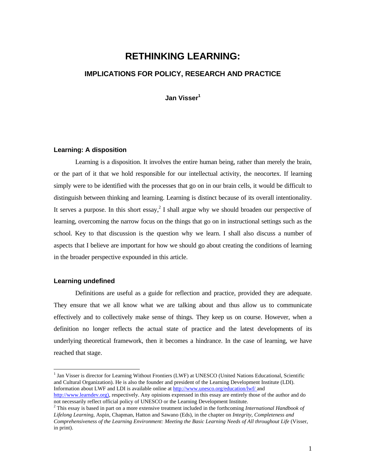# **RETHINKING LEARNING: IMPLICATIONS FOR POLICY, RESEARCH AND PRACTICE**

**Jan Visser<sup>1</sup>**

# **Learning: A disposition**

Learning is a disposition. It involves the entire human being, rather than merely the brain, or the part of it that we hold responsible for our intellectual activity, the neocortex. If learning simply were to be identified with the processes that go on in our brain cells, it would be difficult to distinguish between thinking and learning. Learning is distinct because of its overall intentionality. It serves a purpose. In this short essay,<sup>2</sup> I shall argue why we should broaden our perspective of learning, overcoming the narrow focus on the things that go on in instructional settings such as the school. Key to that discussion is the question why we learn. I shall also discuss a number of aspects that I believe are important for how we should go about creating the conditions of learning in the broader perspective expounded in this article.

# **Learning undefined**

-

Definitions are useful as a guide for reflection and practice, provided they are adequate. They ensure that we all know what we are talking about and thus allow us to communicate effectively and to collectively make sense of things. They keep us on course. However, when a definition no longer reflects the actual state of practice and the latest developments of its underlying theoretical framework, then it becomes a hindrance. In the case of learning, we have reached that stage.

<sup>&</sup>lt;sup>1</sup> Jan Visser is director for Learning Without Frontiers (LWF) at UNESCO (United Nations Educational, Scientific and Cultural Organization). He is also the founder and president of the Learning Development Institute (LDI). Information about LWF and LDI is available online at http://www.unesco.org/education/lwf/ and

http://www.learndev.org), respectively. Any opinions expressed in this essay are entirely those of the author and do not necessarily reflect official policy of UNESCO or the Learning Development Institute.

<sup>2</sup> This essay is based in part on a more extensive treatment included in the forthcoming *International Handbook of Lifelong Learning*, Aspin, Chapman, Hatton and Sawano (Eds), in the chapter on *Integrity, Completeness and Comprehensiveness of the Learning Environment: Meeting the Basic Learning Needs of All throughout Life* (Visser, in print).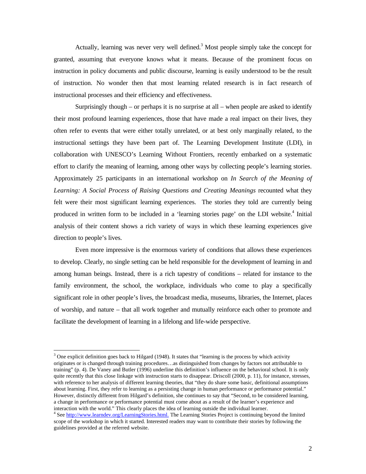Actually, learning was never very well defined.<sup>3</sup> Most people simply take the concept for granted, assuming that everyone knows what it means. Because of the prominent focus on instruction in policy documents and public discourse, learning is easily understood to be the result of instruction. No wonder then that most learning related research is in fact research of instructional processes and their efficiency and effectiveness.

Surprisingly though – or perhaps it is no surprise at all – when people are asked to identify their most profound learning experiences, those that have made a real impact on their lives, they often refer to events that were either totally unrelated, or at best only marginally related, to the instructional settings they have been part of. The Learning Development Institute (LDI), in collaboration with UNESCO's Learning Without Frontiers, recently embarked on a systematic effort to clarify the meaning of learning, among other ways by collecting people's learning stories. Approximately 25 participants in an international workshop on *In Search of the Meaning of Learning: A Social Process of Raising Questions and Creating Meanings* recounted what they felt were their most significant learning experiences. The stories they told are currently being produced in written form to be included in a 'learning stories page' on the LDI website.<sup>4</sup> Initial analysis of their content shows a rich variety of ways in which these learning experiences give direction to people's lives.

Even more impressive is the enormous variety of conditions that allows these experiences to develop. Clearly, no single setting can be held responsible for the development of learning in and among human beings. Instead, there is a rich tapestry of conditions – related for instance to the family environment, the school, the workplace, individuals who come to play a specifically significant role in other people's lives, the broadcast media, museums, libraries, the Internet, places of worship, and nature – that all work together and mutually reinforce each other to promote and facilitate the development of learning in a lifelong and life-wide perspective.

<u>.</u>

<sup>&</sup>lt;sup>3</sup> One explicit definition goes back to Hilgard (1948). It states that "learning is the process by which activity originates or is changed through training procedures…as distinguished from changes by factors not attributable to training" (p. 4). De Vaney and Butler (1996) underline this definition's influence on the behavioral school. It is only quite recently that this close linkage with instruction starts to disappear. Driscoll (2000, p. 11), for instance, stresses, with reference to her analysis of different learning theories, that "they do share some basic, definitional assumptions about learning. First, they refer to learning as a persisting change in human performance or performance potential." However, distinctly different from Hilgard's definition, she continues to say that "Second, to be considered learning, a change in performance or performance potential must come about as a result of the learner's experience and interaction with the world." This clearly places the idea of learning outside the individual learner.

<sup>&</sup>lt;sup>4</sup> See http://www.learndev.org/LearningStories.html. The Learning Stories Project is continuing beyond the limited scope of the workshop in which it started. Interested readers may want to contribute their stories by following the guidelines provided at the referred website.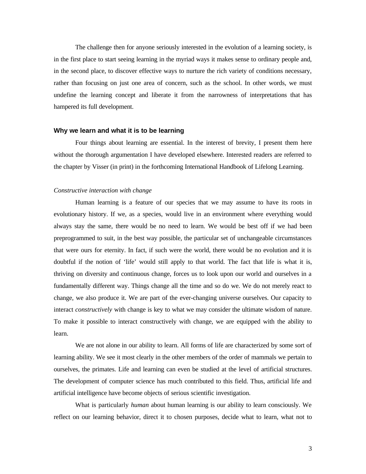The challenge then for anyone seriously interested in the evolution of a learning society, is in the first place to start seeing learning in the myriad ways it makes sense to ordinary people and, in the second place, to discover effective ways to nurture the rich variety of conditions necessary, rather than focusing on just one area of concern, such as the school. In other words, we must undefine the learning concept and liberate it from the narrowness of interpretations that has hampered its full development.

#### **Why we learn and what it is to be learning**

Four things about learning are essential. In the interest of brevity, I present them here without the thorough argumentation I have developed elsewhere. Interested readers are referred to the chapter by Visser (in print) in the forthcoming International Handbook of Lifelong Learning.

#### *Constructive interaction with change*

Human learning is a feature of our species that we may assume to have its roots in evolutionary history. If we, as a species, would live in an environment where everything would always stay the same, there would be no need to learn. We would be best off if we had been preprogrammed to suit, in the best way possible, the particular set of unchangeable circumstances that were ours for eternity. In fact, if such were the world, there would be no evolution and it is doubtful if the notion of 'life' would still apply to that world. The fact that life is what it is, thriving on diversity and continuous change, forces us to look upon our world and ourselves in a fundamentally different way. Things change all the time and so do we. We do not merely react to change, we also produce it. We are part of the ever-changing universe ourselves. Our capacity to interact *constructively* with change is key to what we may consider the ultimate wisdom of nature. To make it possible to interact constructively with change, we are equipped with the ability to learn.

We are not alone in our ability to learn. All forms of life are characterized by some sort of learning ability. We see it most clearly in the other members of the order of mammals we pertain to ourselves, the primates. Life and learning can even be studied at the level of artificial structures. The development of computer science has much contributed to this field. Thus, artificial life and artificial intelligence have become objects of serious scientific investigation.

What is particularly *human* about human learning is our ability to learn consciously. We reflect on our learning behavior, direct it to chosen purposes, decide what to learn, what not to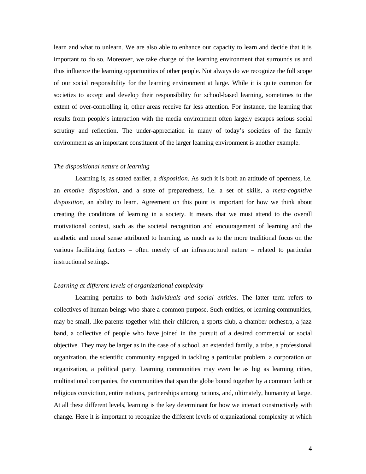learn and what to unlearn. We are also able to enhance our capacity to learn and decide that it is important to do so. Moreover, we take charge of the learning environment that surrounds us and thus influence the learning opportunities of other people. Not always do we recognize the full scope of our social responsibility for the learning environment at large. While it is quite common for societies to accept and develop their responsibility for school-based learning, sometimes to the extent of over-controlling it, other areas receive far less attention. For instance, the learning that results from people's interaction with the media environment often largely escapes serious social scrutiny and reflection. The under-appreciation in many of today's societies of the family environment as an important constituent of the larger learning environment is another example.

## *The dispositional nature of learning*

Learning is, as stated earlier, a *disposition*. As such it is both an attitude of openness, i.e. an *emotive disposition*, and a state of preparedness, i.e. a set of skills, a *meta-cognitive disposition*, an ability to learn. Agreement on this point is important for how we think about creating the conditions of learning in a society. It means that we must attend to the overall motivational context, such as the societal recognition and encouragement of learning and the aesthetic and moral sense attributed to learning, as much as to the more traditional focus on the various facilitating factors – often merely of an infrastructural nature – related to particular instructional settings.

#### *Learning at different levels of organizational complexity*

Learning pertains to both *individuals and social entities*. The latter term refers to collectives of human beings who share a common purpose. Such entities, or learning communities, may be small, like parents together with their children, a sports club, a chamber orchestra, a jazz band, a collective of people who have joined in the pursuit of a desired commercial or social objective. They may be larger as in the case of a school, an extended family, a tribe, a professional organization, the scientific community engaged in tackling a particular problem, a corporation or organization, a political party. Learning communities may even be as big as learning cities, multinational companies, the communities that span the globe bound together by a common faith or religious conviction, entire nations, partnerships among nations, and, ultimately, humanity at large. At all these different levels, learning is the key determinant for how we interact constructively with change. Here it is important to recognize the different levels of organizational complexity at which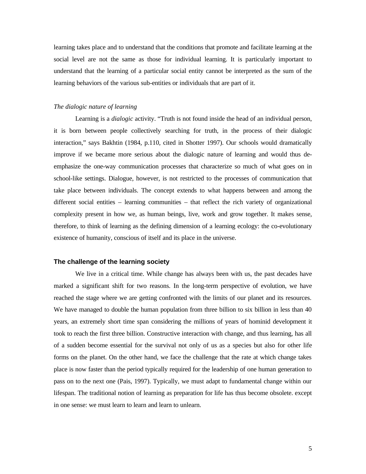learning takes place and to understand that the conditions that promote and facilitate learning at the social level are not the same as those for individual learning. It is particularly important to understand that the learning of a particular social entity cannot be interpreted as the sum of the learning behaviors of the various sub-entities or individuals that are part of it.

## *The dialogic nature of learning*

Learning is a *dialogic* activity. "Truth is not found inside the head of an individual person, it is born between people collectively searching for truth, in the process of their dialogic interaction," says Bakhtin (1984, p.110, cited in Shotter 1997). Our schools would dramatically improve if we became more serious about the dialogic nature of learning and would thus deemphasize the one-way communication processes that characterize so much of what goes on in school-like settings. Dialogue, however, is not restricted to the processes of communication that take place between individuals. The concept extends to what happens between and among the different social entities – learning communities – that reflect the rich variety of organizational complexity present in how we, as human beings, live, work and grow together. It makes sense, therefore, to think of learning as the defining dimension of a learning ecology: the co-evolutionary existence of humanity, conscious of itself and its place in the universe.

#### **The challenge of the learning society**

We live in a critical time. While change has always been with us, the past decades have marked a significant shift for two reasons. In the long-term perspective of evolution, we have reached the stage where we are getting confronted with the limits of our planet and its resources. We have managed to double the human population from three billion to six billion in less than 40 years, an extremely short time span considering the millions of years of hominid development it took to reach the first three billion. Constructive interaction with change, and thus learning, has all of a sudden become essential for the survival not only of us as a species but also for other life forms on the planet. On the other hand, we face the challenge that the rate at which change takes place is now faster than the period typically required for the leadership of one human generation to pass on to the next one (Pais, 1997). Typically, we must adapt to fundamental change within our lifespan. The traditional notion of learning as preparation for life has thus become obsolete. except in one sense: we must learn to learn and learn to unlearn.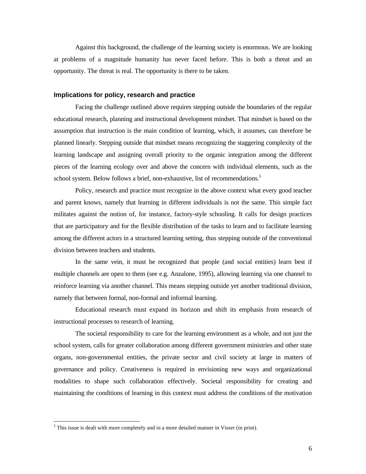Against this background, the challenge of the learning society is enormous. We are looking at problems of a magnitude humanity has never faced before. This is both a threat and an opportunity. The threat is real. The opportunity is there to be taken.

## **Implications for policy, research and practice**

Facing the challenge outlined above requires stepping outside the boundaries of the regular educational research, planning and instructional development mindset. That mindset is based on the assumption that instruction is the main condition of learning, which, it assumes, can therefore be planned linearly. Stepping outside that mindset means recognizing the staggering complexity of the learning landscape and assigning overall priority to the organic integration among the different pieces of the learning ecology over and above the concern with individual elements, such as the school system. Below follows a brief, non-exhaustive, list of recommendations.<sup>5</sup>

Policy, research and practice must recognize in the above context what every good teacher and parent knows, namely that learning in different individuals is not the same. This simple fact militates against the notion of, for instance, factory-style schooling. It calls for design practices that are participatory and for the flexible distribution of the tasks to learn and to facilitate learning among the different actors in a structured learning setting, thus stepping outside of the conventional division between teachers and students.

In the same vein, it must be recognized that people (and social entities) learn best if multiple channels are open to them (see e.g. Anzalone, 1995), allowing learning via one channel to reinforce learning via another channel. This means stepping outside yet another traditional division, namely that between formal, non-formal and informal learning.

Educational research must expand its horizon and shift its emphasis from research of instructional processes to research of learning.

The societal responsibility to care for the learning environment as a whole, and not just the school system, calls for greater collaboration among different government ministries and other state organs, non-governmental entities, the private sector and civil society at large in matters of governance and policy. Creativeness is required in envisioning new ways and organizational modalities to shape such collaboration effectively. Societal responsibility for creating and maintaining the conditions of learning in this context must address the conditions of the motivation

 $\overline{a}$ 

 $<sup>5</sup>$  This issue is dealt with more completely and in a more detailed manner in Visser (in print).</sup>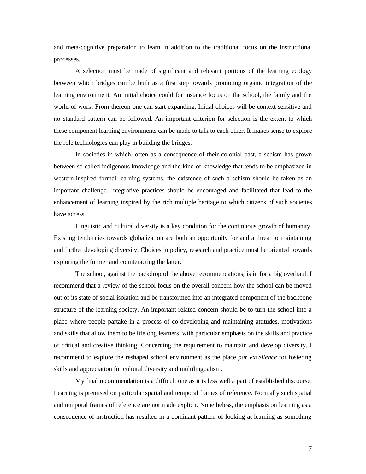and meta-cognitive preparation to learn in addition to the traditional focus on the instructional processes.

A selection must be made of significant and relevant portions of the learning ecology between which bridges can be built as a first step towards promoting organic integration of the learning environment. An initial choice could for instance focus on the school, the family and the world of work. From thereon one can start expanding. Initial choices will be context sensitive and no standard pattern can be followed. An important criterion for selection is the extent to which these component learning environments can be made to talk to each other. It makes sense to explore the role technologies can play in building the bridges.

In societies in which, often as a consequence of their colonial past, a schism has grown between so-called indigenous knowledge and the kind of knowledge that tends to be emphasized in western-inspired formal learning systems, the existence of such a schism should be taken as an important challenge. Integrative practices should be encouraged and facilitated that lead to the enhancement of learning inspired by the rich multiple heritage to which citizens of such societies have access.

Linguistic and cultural diversity is a key condition for the continuous growth of humanity. Existing tendencies towards globalization are both an opportunity for and a threat to maintaining and further developing diversity. Choices in policy, research and practice must be oriented towards exploring the former and counteracting the latter.

The school, against the backdrop of the above recommendations, is in for a big overhaul. I recommend that a review of the school focus on the overall concern how the school can be moved out of its state of social isolation and be transformed into an integrated component of the backbone structure of the learning society. An important related concern should be to turn the school into a place where people partake in a process of co-developing and maintaining attitudes, motivations and skills that allow them to be lifelong learners, with particular emphasis on the skills and practice of critical and creative thinking. Concerning the requirement to maintain and develop diversity, I recommend to explore the reshaped school environment as the place *par excellence* for fostering skills and appreciation for cultural diversity and multilingualism.

My final recommendation is a difficult one as it is less well a part of established discourse. Learning is premised on particular spatial and temporal frames of reference. Normally such spatial and temporal frames of reference are not made explicit. Nonetheless, the emphasis on learning as a consequence of instruction has resulted in a dominant pattern of looking at learning as something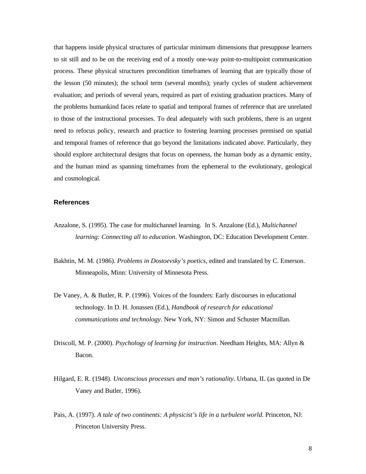that happens inside physical structures of particular minimum dimensions that presuppose learners to sit still and to be on the receiving end of a mostly one-way point-to-multipoint communication process. These physical structures precondition timeframes of learning that are typically those of the lesson (50 minutes); the school term (several months); yearly cycles of student achievement evaluation; and periods of several years, required as part of existing graduation practices. Many of the problems humankind faces relate to spatial and temporal frames of reference that are unrelated to those of the instructional processes. To deal adequately with such problems, there is an urgent need to refocus policy, research and practice to fostering learning processes premised on spatial and temporal frames of reference that go beyond the limitations indicated above. Particularly, they should explore architectural designs that focus on openness, the human body as a dynamic entity, and the human mind as spanning timeframes from the ephemeral to the evolutionary, geological and cosmological.

#### **References**

- Anzalone, S. (1995). The case for multichannel learning. In S. Anzalone (Ed.), *Multichannel learning: Connecting all to education*. Washington, DC: Education Development Center.
- Bakhtin, M. M. (1986). *Problems in Dostoevsky's poetics*, edited and translated by C. Emerson. Minneapolis, Minn: University of Minnesota Press.
- De Vaney, A. & Butler, R. P. (1996). Voices of the founders: Early discourses in educational technology. In D. H. Jonassen (Ed.), *Handbook of research for educational communications and technology*. New York, NY: Simon and Schuster Macmillan.
- Driscoll, M. P. (2000). *Psychology of learning for instruction*. Needham Heights, MA: Allyn & Bacon.
- Hilgard, E. R. (1948). *Unconscious processes and man's rationality*. Urbana, IL (as quoted in De Vaney and Butler, 1996).
- Pais, A. (1997). *A tale of two continents: A physicist's life in a turbulent world*. Princeton, NJ: Princeton University Press.